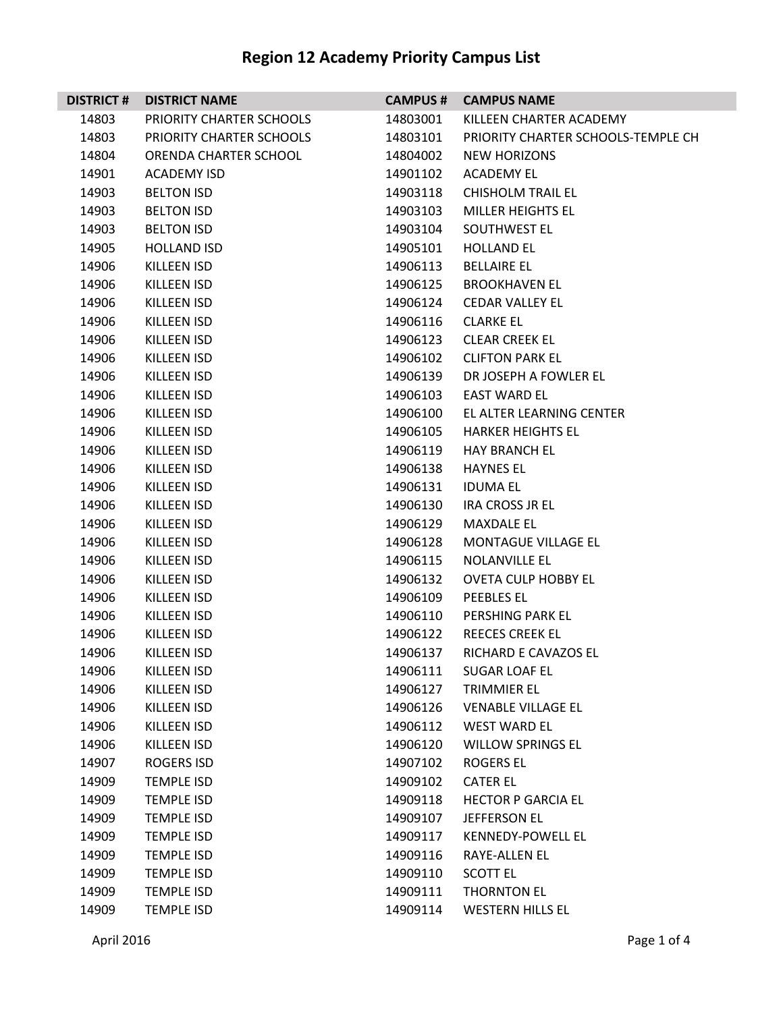| <b>DISTRICT #</b> | <b>DISTRICT NAME</b>     | <b>CAMPUS #</b> | <b>CAMPUS NAME</b>                 |
|-------------------|--------------------------|-----------------|------------------------------------|
| 14803             | PRIORITY CHARTER SCHOOLS | 14803001        | KILLEEN CHARTER ACADEMY            |
| 14803             | PRIORITY CHARTER SCHOOLS | 14803101        | PRIORITY CHARTER SCHOOLS-TEMPLE CH |
| 14804             | ORENDA CHARTER SCHOOL    | 14804002        | <b>NEW HORIZONS</b>                |
| 14901             | <b>ACADEMY ISD</b>       | 14901102        | <b>ACADEMY EL</b>                  |
| 14903             | <b>BELTON ISD</b>        | 14903118        | <b>CHISHOLM TRAIL EL</b>           |
| 14903             | <b>BELTON ISD</b>        | 14903103        | <b>MILLER HEIGHTS EL</b>           |
| 14903             | <b>BELTON ISD</b>        | 14903104        | SOUTHWEST EL                       |
| 14905             | <b>HOLLAND ISD</b>       | 14905101        | <b>HOLLAND EL</b>                  |
| 14906             | KILLEEN ISD              | 14906113        | <b>BELLAIRE EL</b>                 |
| 14906             | <b>KILLEEN ISD</b>       | 14906125        | <b>BROOKHAVEN EL</b>               |
| 14906             | KILLEEN ISD              | 14906124        | <b>CEDAR VALLEY EL</b>             |
| 14906             | KILLEEN ISD              | 14906116        | <b>CLARKE EL</b>                   |
| 14906             | <b>KILLEEN ISD</b>       | 14906123        | <b>CLEAR CREEK EL</b>              |
| 14906             | KILLEEN ISD              | 14906102        | <b>CLIFTON PARK EL</b>             |
| 14906             | <b>KILLEEN ISD</b>       | 14906139        | DR JOSEPH A FOWLER EL              |
| 14906             | <b>KILLEEN ISD</b>       | 14906103        | EAST WARD EL                       |
| 14906             | KILLEEN ISD              | 14906100        | EL ALTER LEARNING CENTER           |
| 14906             | <b>KILLEEN ISD</b>       | 14906105        | <b>HARKER HEIGHTS EL</b>           |
| 14906             | KILLEEN ISD              | 14906119        | <b>HAY BRANCH EL</b>               |
| 14906             | <b>KILLEEN ISD</b>       | 14906138        | <b>HAYNES EL</b>                   |
| 14906             | KILLEEN ISD              | 14906131        | <b>IDUMA EL</b>                    |
| 14906             | KILLEEN ISD              | 14906130        | IRA CROSS JR EL                    |
| 14906             | KILLEEN ISD              | 14906129        | <b>MAXDALE EL</b>                  |
| 14906             | KILLEEN ISD              | 14906128        | <b>MONTAGUE VILLAGE EL</b>         |
| 14906             | <b>KILLEEN ISD</b>       | 14906115        | <b>NOLANVILLE EL</b>               |
| 14906             | KILLEEN ISD              | 14906132        | <b>OVETA CULP HOBBY EL</b>         |
| 14906             | KILLEEN ISD              | 14906109        | PEEBLES EL                         |
| 14906             | KILLEEN ISD              | 14906110        | PERSHING PARK EL                   |
| 14906             | KILLEEN ISD              | 14906122        | <b>REECES CREEK EL</b>             |
| 14906             | <b>KILLEEN ISD</b>       | 14906137        | RICHARD E CAVAZOS EL               |
| 14906             | KILLEEN ISD              | 14906111        | SUGAR LOAF EL                      |
| 14906             | KILLEEN ISD              | 14906127        | <b>TRIMMIER EL</b>                 |
| 14906             | KILLEEN ISD              | 14906126        | <b>VENABLE VILLAGE EL</b>          |
| 14906             | KILLEEN ISD              | 14906112        | <b>WEST WARD EL</b>                |
| 14906             | <b>KILLEEN ISD</b>       | 14906120        | <b>WILLOW SPRINGS EL</b>           |
| 14907             | ROGERS ISD               | 14907102        | <b>ROGERS EL</b>                   |
| 14909             | <b>TEMPLE ISD</b>        | 14909102        | <b>CATER EL</b>                    |
| 14909             | <b>TEMPLE ISD</b>        | 14909118        | <b>HECTOR P GARCIA EL</b>          |
| 14909             | <b>TEMPLE ISD</b>        | 14909107        | <b>JEFFERSON EL</b>                |
| 14909             | <b>TEMPLE ISD</b>        | 14909117        | <b>KENNEDY-POWELL EL</b>           |
| 14909             | <b>TEMPLE ISD</b>        | 14909116        | RAYE-ALLEN EL                      |
| 14909             | <b>TEMPLE ISD</b>        | 14909110        | <b>SCOTT EL</b>                    |
| 14909             | <b>TEMPLE ISD</b>        | 14909111        | <b>THORNTON EL</b>                 |
| 14909             | <b>TEMPLE ISD</b>        | 14909114        | <b>WESTERN HILLS EL</b>            |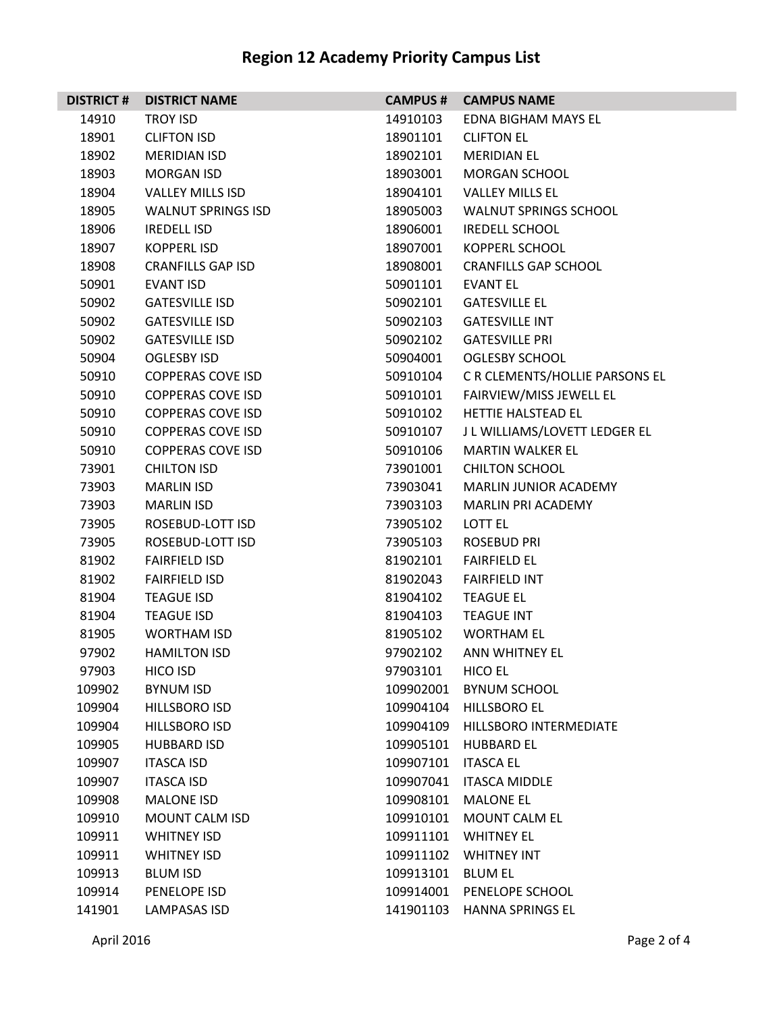| <b>DISTRICT#</b> | <b>DISTRICT NAME</b>      | <b>CAMPUS #</b> | <b>CAMPUS NAME</b>             |
|------------------|---------------------------|-----------------|--------------------------------|
| 14910            | <b>TROY ISD</b>           | 14910103        | EDNA BIGHAM MAYS EL            |
| 18901            | <b>CLIFTON ISD</b>        | 18901101        | <b>CLIFTON EL</b>              |
| 18902            | <b>MERIDIAN ISD</b>       | 18902101        | <b>MERIDIAN EL</b>             |
| 18903            | <b>MORGAN ISD</b>         | 18903001        | <b>MORGAN SCHOOL</b>           |
| 18904            | <b>VALLEY MILLS ISD</b>   | 18904101        | <b>VALLEY MILLS EL</b>         |
| 18905            | <b>WALNUT SPRINGS ISD</b> | 18905003        | <b>WALNUT SPRINGS SCHOOL</b>   |
| 18906            | <b>IREDELL ISD</b>        | 18906001        | <b>IREDELL SCHOOL</b>          |
| 18907            | <b>KOPPERLISD</b>         | 18907001        | <b>KOPPERL SCHOOL</b>          |
| 18908            | <b>CRANFILLS GAP ISD</b>  | 18908001        | <b>CRANFILLS GAP SCHOOL</b>    |
| 50901            | <b>EVANT ISD</b>          | 50901101        | <b>EVANT EL</b>                |
| 50902            | <b>GATESVILLE ISD</b>     | 50902101        | <b>GATESVILLE EL</b>           |
| 50902            | <b>GATESVILLE ISD</b>     | 50902103        | <b>GATESVILLE INT</b>          |
| 50902            | <b>GATESVILLE ISD</b>     | 50902102        | <b>GATESVILLE PRI</b>          |
| 50904            | <b>OGLESBY ISD</b>        | 50904001        | <b>OGLESBY SCHOOL</b>          |
| 50910            | <b>COPPERAS COVE ISD</b>  | 50910104        | C R CLEMENTS/HOLLIE PARSONS EL |
| 50910            | <b>COPPERAS COVE ISD</b>  | 50910101        | FAIRVIEW/MISS JEWELL EL        |
| 50910            | <b>COPPERAS COVE ISD</b>  | 50910102        | HETTIE HALSTEAD EL             |
| 50910            | <b>COPPERAS COVE ISD</b>  | 50910107        | J L WILLIAMS/LOVETT LEDGER EL  |
| 50910            | <b>COPPERAS COVE ISD</b>  | 50910106        | <b>MARTIN WALKER EL</b>        |
| 73901            | <b>CHILTON ISD</b>        | 73901001        | <b>CHILTON SCHOOL</b>          |
| 73903            | <b>MARLIN ISD</b>         | 73903041        | MARLIN JUNIOR ACADEMY          |
| 73903            | <b>MARLIN ISD</b>         | 73903103        | <b>MARLIN PRI ACADEMY</b>      |
| 73905            | ROSEBUD-LOTT ISD          | 73905102        | LOTT EL                        |
| 73905            | ROSEBUD-LOTT ISD          | 73905103        | ROSEBUD PRI                    |
| 81902            | <b>FAIRFIELD ISD</b>      | 81902101        | <b>FAIRFIELD EL</b>            |
| 81902            | <b>FAIRFIELD ISD</b>      | 81902043        | <b>FAIRFIELD INT</b>           |
| 81904            | <b>TEAGUE ISD</b>         | 81904102        | <b>TEAGUE EL</b>               |
| 81904            | <b>TEAGUE ISD</b>         | 81904103        | <b>TEAGUE INT</b>              |
| 81905            | WORTHAM ISD               | 81905102        | <b>WORTHAM EL</b>              |
| 97902            | <b>HAMILTON ISD</b>       | 97902102        | <b>ANN WHITNEY EL</b>          |
| 97903            | HICO ISD                  | 97903101        | <b>HICO EL</b>                 |
| 109902           | <b>BYNUM ISD</b>          | 109902001       | <b>BYNUM SCHOOL</b>            |
| 109904           | <b>HILLSBORO ISD</b>      | 109904104       | HILLSBORO EL                   |
| 109904           | <b>HILLSBORO ISD</b>      | 109904109       | HILLSBORO INTERMEDIATE         |
| 109905           | <b>HUBBARD ISD</b>        | 109905101       | <b>HUBBARD EL</b>              |
| 109907           | <b>ITASCA ISD</b>         | 109907101       | <b>ITASCA EL</b>               |
| 109907           | <b>ITASCA ISD</b>         | 109907041       | <b>ITASCA MIDDLE</b>           |
| 109908           | <b>MALONE ISD</b>         | 109908101       | <b>MALONE EL</b>               |
| 109910           | MOUNT CALM ISD            | 109910101       | MOUNT CALM EL                  |
| 109911           | <b>WHITNEY ISD</b>        | 109911101       | <b>WHITNEY EL</b>              |
| 109911           | <b>WHITNEY ISD</b>        | 109911102       | <b>WHITNEY INT</b>             |
| 109913           | <b>BLUM ISD</b>           | 109913101       | <b>BLUM EL</b>                 |
| 109914           | PENELOPE ISD              | 109914001       | PENELOPE SCHOOL                |
| 141901           | <b>LAMPASAS ISD</b>       | 141901103       | <b>HANNA SPRINGS EL</b>        |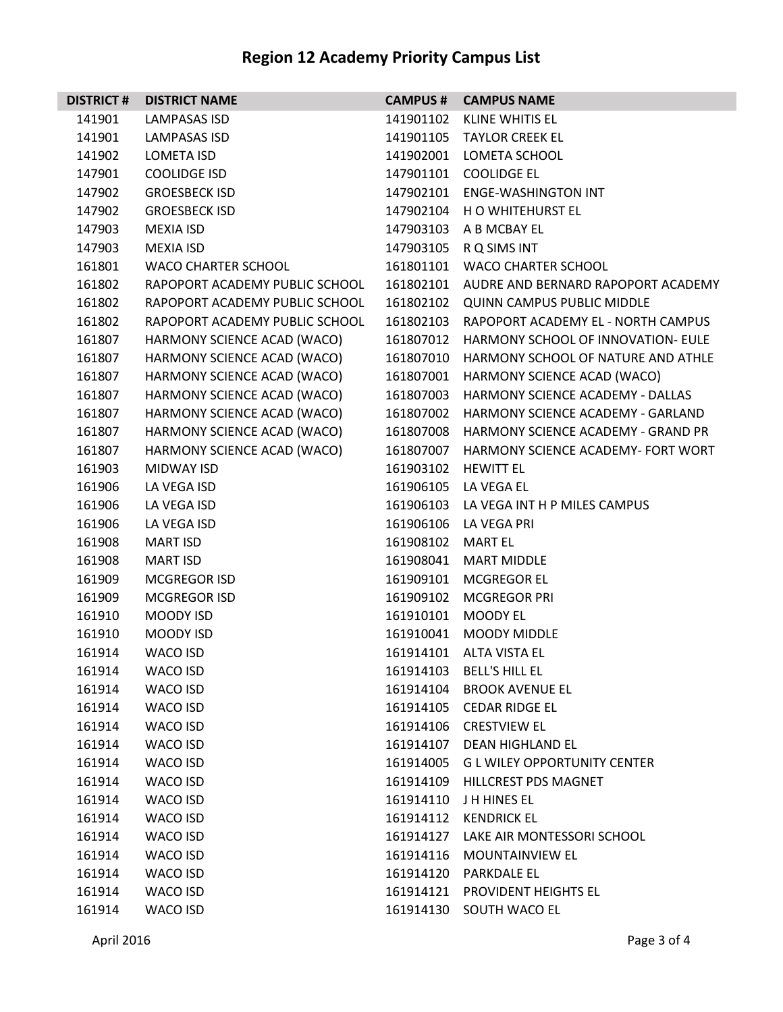| <b>DISTRICT #</b> | <b>DISTRICT NAME</b>           | <b>CAMPUS #</b> | <b>CAMPUS NAME</b>                           |
|-------------------|--------------------------------|-----------------|----------------------------------------------|
| 141901            | LAMPASAS ISD                   | 141901102       | KLINE WHITIS EL                              |
| 141901            | <b>LAMPASAS ISD</b>            |                 | 141901105 TAYLOR CREEK EL                    |
| 141902            | <b>LOMETA ISD</b>              | 141902001       | <b>LOMETA SCHOOL</b>                         |
| 147901            | <b>COOLIDGE ISD</b>            | 147901101       | <b>COOLIDGE EL</b>                           |
| 147902            | <b>GROESBECK ISD</b>           | 147902101       | <b>ENGE-WASHINGTON INT</b>                   |
| 147902            | <b>GROESBECK ISD</b>           |                 | 147902104 H O WHITEHURST EL                  |
| 147903            | MEXIA ISD                      | 147903103       | A B MCBAY EL                                 |
| 147903            | <b>MEXIA ISD</b>               | 147903105       | R Q SIMS INT                                 |
| 161801            | <b>WACO CHARTER SCHOOL</b>     | 161801101       | <b>WACO CHARTER SCHOOL</b>                   |
| 161802            | RAPOPORT ACADEMY PUBLIC SCHOOL |                 | 161802101 AUDRE AND BERNARD RAPOPORT ACADEMY |
| 161802            | RAPOPORT ACADEMY PUBLIC SCHOOL |                 | 161802102 QUINN CAMPUS PUBLIC MIDDLE         |
| 161802            | RAPOPORT ACADEMY PUBLIC SCHOOL | 161802103       | RAPOPORT ACADEMY EL - NORTH CAMPUS           |
| 161807            | HARMONY SCIENCE ACAD (WACO)    | 161807012       | HARMONY SCHOOL OF INNOVATION- EULE           |
| 161807            | HARMONY SCIENCE ACAD (WACO)    | 161807010       | HARMONY SCHOOL OF NATURE AND ATHLE           |
| 161807            | HARMONY SCIENCE ACAD (WACO)    | 161807001       | HARMONY SCIENCE ACAD (WACO)                  |
| 161807            | HARMONY SCIENCE ACAD (WACO)    | 161807003       | HARMONY SCIENCE ACADEMY - DALLAS             |
| 161807            | HARMONY SCIENCE ACAD (WACO)    | 161807002       | HARMONY SCIENCE ACADEMY - GARLAND            |
| 161807            | HARMONY SCIENCE ACAD (WACO)    | 161807008       | <b>HARMONY SCIENCE ACADEMY - GRAND PR</b>    |
| 161807            | HARMONY SCIENCE ACAD (WACO)    | 161807007       | HARMONY SCIENCE ACADEMY- FORT WORT           |
| 161903            | <b>MIDWAY ISD</b>              | 161903102       | <b>HEWITT EL</b>                             |
| 161906            | LA VEGA ISD                    |                 | 161906105 LA VEGA EL                         |
| 161906            | LA VEGA ISD                    | 161906103       | LA VEGA INT H P MILES CAMPUS                 |
| 161906            | LA VEGA ISD                    | 161906106       | LA VEGA PRI                                  |
| 161908            | <b>MART ISD</b>                | 161908102       | <b>MART EL</b>                               |
| 161908            | <b>MART ISD</b>                | 161908041       | <b>MART MIDDLE</b>                           |
| 161909            | <b>MCGREGOR ISD</b>            | 161909101       | <b>MCGREGOR EL</b>                           |
| 161909            | <b>MCGREGOR ISD</b>            | 161909102       | <b>MCGREGOR PRI</b>                          |
| 161910            | MOODY ISD                      | 161910101       | <b>MOODY EL</b>                              |
| 161910            | MOODY ISD                      | 161910041       | <b>MOODY MIDDLE</b>                          |
| 161914            | <b>WACO ISD</b>                | 161914101       | <b>ALTA VISTA EL</b>                         |
| 161914            | WACO ISD                       | 161914103       | <b>BELL'S HILL EL</b>                        |
| 161914            | WACO ISD                       | 161914104       | <b>BROOK AVENUE EL</b>                       |
| 161914            | WACO ISD                       |                 | 161914105 CEDAR RIDGE EL                     |
| 161914            | WACO ISD                       | 161914106       | <b>CRESTVIEW EL</b>                          |
| 161914            | WACO ISD                       | 161914107       | <b>DEAN HIGHLAND EL</b>                      |
| 161914            | WACO ISD                       | 161914005       | <b>GLWILEY OPPORTUNITY CENTER</b>            |
| 161914            | WACO ISD                       | 161914109       | <b>HILLCREST PDS MAGNET</b>                  |
| 161914            | WACO ISD                       |                 | 161914110 J H HINES EL                       |
| 161914            | WACO ISD                       | 161914112       | <b>KENDRICK EL</b>                           |
| 161914            | WACO ISD                       | 161914127       | LAKE AIR MONTESSORI SCHOOL                   |
| 161914            | WACO ISD                       | 161914116       | <b>MOUNTAINVIEW EL</b>                       |
| 161914            | WACO ISD                       | 161914120       | <b>PARKDALE EL</b>                           |
| 161914            | WACO ISD                       | 161914121       | <b>PROVIDENT HEIGHTS EL</b>                  |
| 161914            | WACO ISD                       | 161914130       | SOUTH WACO EL                                |